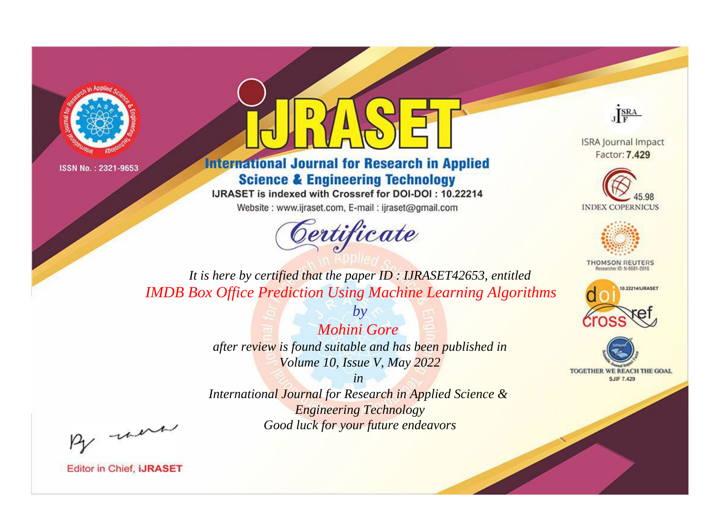



**International Journal for Research in Applied Science & Engineering Technology** 

IJRASET is indexed with Crossref for DOI-DOI: 10.22214

Website: www.ijraset.com, E-mail: ijraset@gmail.com



JERA

**ISRA Journal Impact** Factor: 7.429





**THOMSON REUTERS** 



TOGETHER WE REACH THE GOAL **SJIF 7.429** 

*It is here by certified that the paper ID : IJRASET42653, entitled IMDB Box Office Prediction Using Machine Learning Algorithms*

> *Mohini Gore after review is found suitable and has been published in Volume 10, Issue V, May 2022*

*by*

*in* 

*International Journal for Research in Applied Science & Engineering Technology Good luck for your future endeavors*

By morn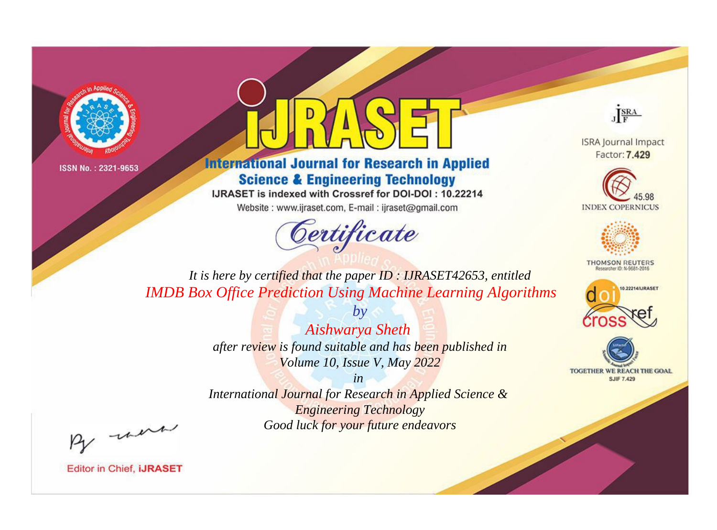



**International Journal for Research in Applied Science & Engineering Technology** 

IJRASET is indexed with Crossref for DOI-DOI: 10.22214

Website: www.ijraset.com, E-mail: ijraset@gmail.com



JERA

**ISRA Journal Impact** Factor: 7.429





**THOMSON REUTERS** 



TOGETHER WE REACH THE GOAL **SJIF 7.429** 

*It is here by certified that the paper ID : IJRASET42653, entitled IMDB Box Office Prediction Using Machine Learning Algorithms*

> *Aishwarya Sheth after review is found suitable and has been published in Volume 10, Issue V, May 2022*

*by*

*in* 

*International Journal for Research in Applied Science & Engineering Technology Good luck for your future endeavors*

By morn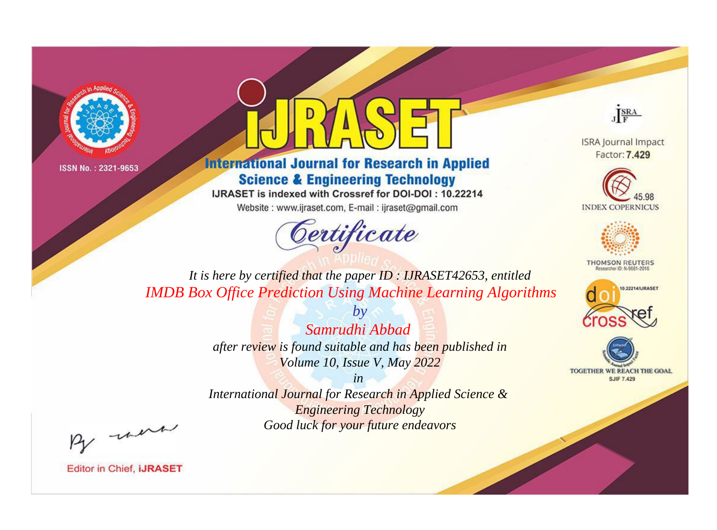



**International Journal for Research in Applied Science & Engineering Technology** 

IJRASET is indexed with Crossref for DOI-DOI: 10.22214

Website: www.ijraset.com, E-mail: ijraset@gmail.com



JERA

**ISRA Journal Impact** Factor: 7.429





**THOMSON REUTERS** 



TOGETHER WE REACH THE GOAL **SJIF 7.429** 

*It is here by certified that the paper ID : IJRASET42653, entitled IMDB Box Office Prediction Using Machine Learning Algorithms*

> *by Samrudhi Abbad after review is found suitable and has been published in Volume 10, Issue V, May 2022*

> > *in*

*International Journal for Research in Applied Science & Engineering Technology Good luck for your future endeavors*

By morn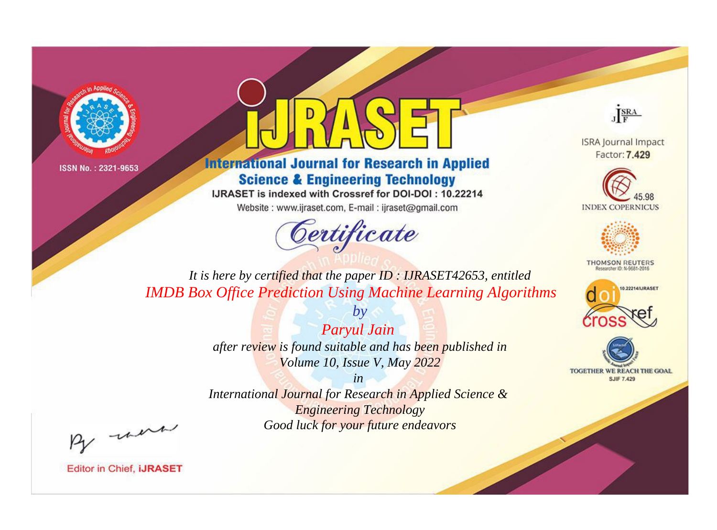



**International Journal for Research in Applied Science & Engineering Technology** 

IJRASET is indexed with Crossref for DOI-DOI: 10.22214

Website: www.ijraset.com, E-mail: ijraset@gmail.com



JERA

**ISRA Journal Impact** Factor: 7.429





**THOMSON REUTERS** 



TOGETHER WE REACH THE GOAL **SJIF 7.429** 

*It is here by certified that the paper ID : IJRASET42653, entitled IMDB Box Office Prediction Using Machine Learning Algorithms*

> *Paryul Jain after review is found suitable and has been published in Volume 10, Issue V, May 2022*

*by*

*in* 

*International Journal for Research in Applied Science & Engineering Technology Good luck for your future endeavors*

By morn